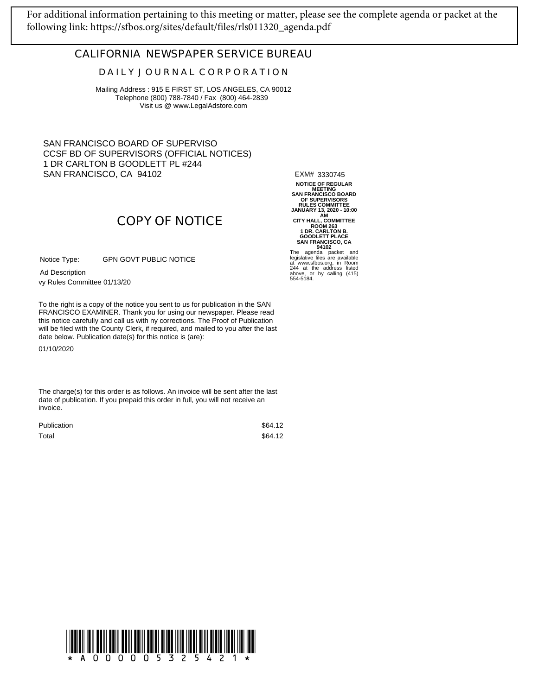[For additional information pertaining to this meeting or matter, please see the complete agenda or packet at the](https://sfbos.org/sites/default/files/rls011320_agenda.pdf)  following link: https://sfbos.org/sites/default/files/rls011320\_agenda.pdf

## **CALIFORNIA NEWSPAPER SERVICE BUREAU**

## **D A I L Y J O U R N A L C O R P O R A T I O N**

Mailing Address : 915 E FIRST ST, LOS ANGELES, CA 90012 Telephone (800) 788-7840 / Fax (800) 464-2839 Visit us @ www.LegalAdstore.com

SAN FRANCISCO BOARD OF SUPERVISO CCSF BD OF SUPERVISORS (OFFICIAL NOTICES) 1 DR CARLTON B GOODLETT PL #244 SAN FRANCISCO, CA 94102

EXM# 3330745

NOTICE OF REGULAR<br>
SAN FRANCISCO BOARD<br>
OF SUPERVISORS<br>
OF SUPERVISORS<br>
TRULES COMMITTEE<br>
JANUARY 13, 2020 - 10:00<br>
CITY HALL, COMMITTEE<br>
ROOM 263<br>
1 DR. CARLTON B.<br>
GOODLETT PLACE<br>
SAN FRANCISCO, CA<br>
94102<br>
The agenda pac

244 at the address listed above, or by calling (415) 554-5184.

## **COPY OF NOTICE**

GPN GOVT PUBLIC NOTICE Notice Type:

vy Rules Committee 01/13/20 Ad Description

FRANCISCO EXAMINER. Thank you for using our newspaper. Please read<br>this notice carefully and call us with ny corrections. The Proof of Publication To the right is a copy of the notice you sent to us for publication in the SAN FRANCISCO EXAMINER. Thank you for using our newspaper. Please read will be filed with the County Clerk, if required, and mailed to you after the last date below. Publication date(s) for this notice is (are):

01/10/2020

The charge(s) for this order is as follows. An invoice will be sent after the last date of publication. If you prepaid this order in full, you will not receive an invoice.

| <b>Publication</b> | \$64.12 |
|--------------------|---------|
| Total              | \$64.12 |